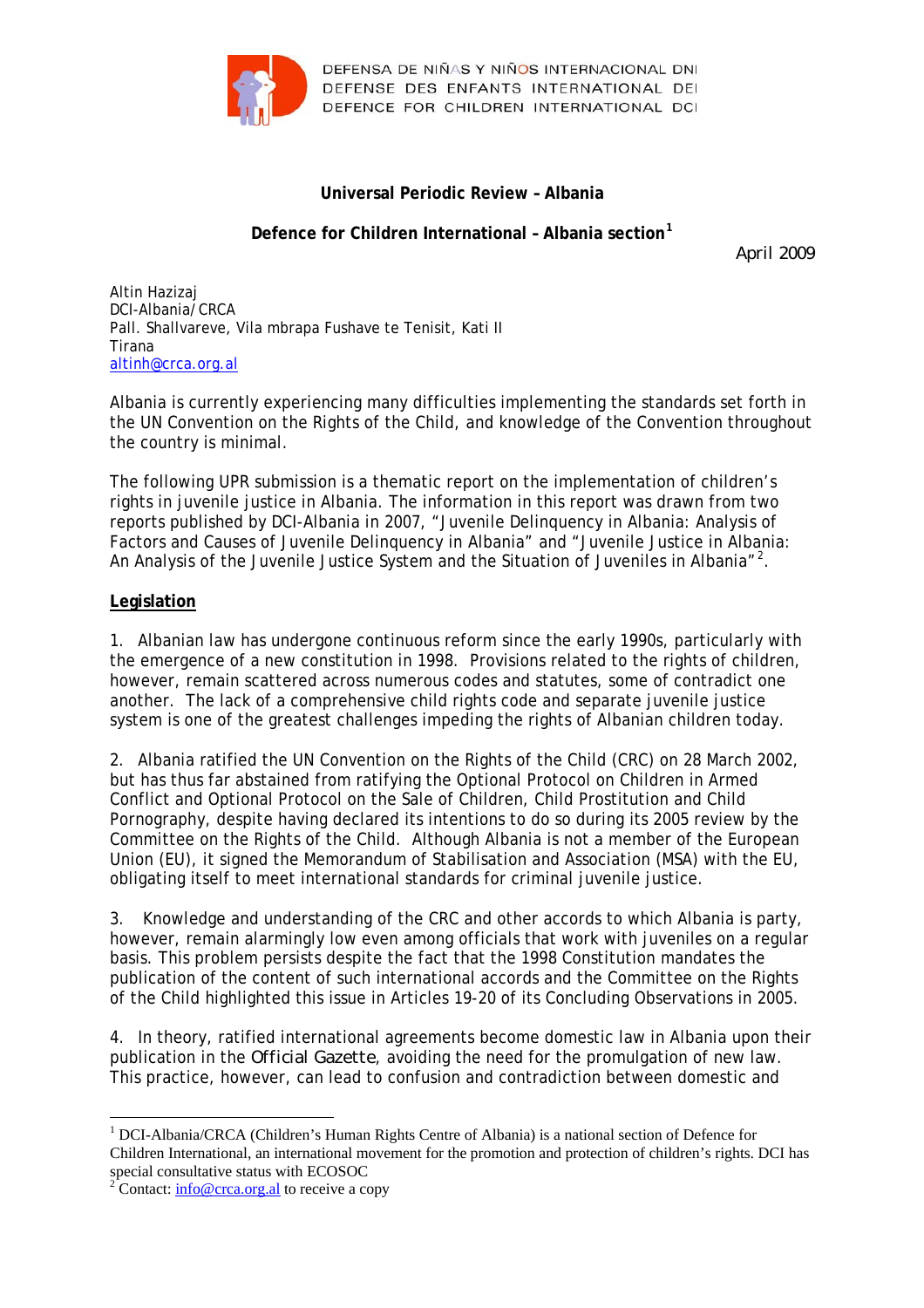

DEFENSA DE NIÑAS Y NIÑOS INTERNACIONAL DNI DEFENSE DES ENFANTS INTERNATIONAL DEI DEFENCE FOR CHILDREN INTERNATIONAL DCI

# **Universal Periodic Review – Albania**

# **Defence for Children International – Albania section[1](#page-0-0)**

*April 2009* 

Altin Hazizaj DCI-Albania/CRCA Pall. Shallvareve, Vila mbrapa Fushave te Tenisit, Kati II Tirana [altinh@crca.org.al](mailto:altinh@crca.org.al)

Albania is currently experiencing many difficulties implementing the standards set forth in the UN Convention on the Rights of the Child, and knowledge of the Convention throughout the country is minimal.

The following UPR submission is a thematic report on the implementation of children's rights in juvenile justice in Albania. The information in this report was drawn from two reports published by DCI-Albania in 2007, "Juvenile Delinquency in Albania: Analysis of Factors and Causes of Juvenile Delinquency in Albania" and "Juvenile Justice in Albania: An Analysis of the Juvenile Justice System and the Situation of Juveniles in Albania"<sup>[2](#page-0-1)</sup>.

## **Legislation**

1

1. Albanian law has undergone continuous reform since the early 1990s, particularly with the emergence of a new constitution in 1998. Provisions related to the rights of children, however, remain scattered across numerous codes and statutes, some of contradict one another. The lack of a comprehensive child rights code and separate juvenile justice system is one of the greatest challenges impeding the rights of Albanian children today.

2. Albania ratified the UN Convention on the Rights of the Child (CRC) on 28 March 2002, but has thus far abstained from ratifying the Optional Protocol on Children in Armed Conflict and Optional Protocol on the Sale of Children, Child Prostitution and Child Pornography, despite having declared its intentions to do so during its 2005 review by the Committee on the Rights of the Child. Although Albania is not a member of the European Union (EU), it signed the Memorandum of Stabilisation and Association (MSA) with the EU, obligating itself to meet international standards for criminal juvenile justice.

3. Knowledge and understanding of the CRC and other accords to which Albania is party, however, remain alarmingly low even among officials that work with juveniles on a regular basis. This problem persists despite the fact that the 1998 Constitution mandates the publication of the content of such international accords and the Committee on the Rights of the Child highlighted this issue in Articles 19-20 of its Concluding Observations in 2005.

4. In theory, ratified international agreements become domestic law in Albania upon their publication in the *Official Gazette*, avoiding the need for the promulgation of new law. This practice, however, can lead to confusion and contradiction between domestic and

<span id="page-0-0"></span><sup>&</sup>lt;sup>1</sup> DCI-Albania/CRCA (Children's Human Rights Centre of Albania) is a national section of Defence for Children International, an international movement for the promotion and protection of children's rights. DCI has special consultative status with ECOSOC

<span id="page-0-1"></span><sup>&</sup>lt;sup>2</sup> Contact:  $\frac{info@crca.org.al}{}$  to receive a copy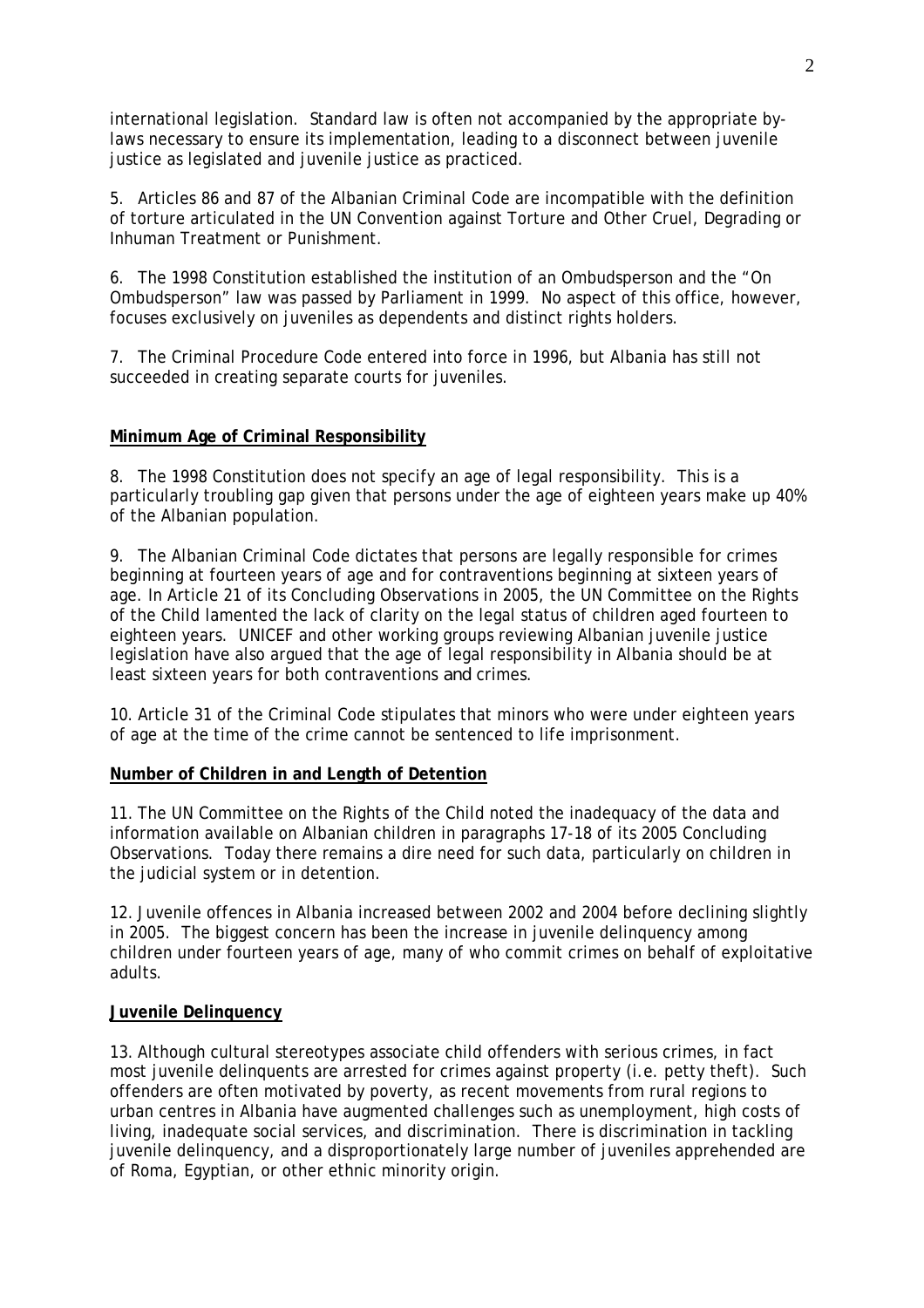international legislation. Standard law is often not accompanied by the appropriate bylaws necessary to ensure its implementation, leading to a disconnect between juvenile justice as legislated and juvenile justice as practiced.

5. Articles 86 and 87 of the Albanian Criminal Code are incompatible with the definition of torture articulated in the UN Convention against Torture and Other Cruel, Degrading or Inhuman Treatment or Punishment.

6. The 1998 Constitution established the institution of an Ombudsperson and the "On Ombudsperson" law was passed by Parliament in 1999. No aspect of this office, however, focuses exclusively on juveniles as dependents and distinct rights holders.

7. The Criminal Procedure Code entered into force in 1996, but Albania has still not succeeded in creating separate courts for juveniles.

## **Minimum Age of Criminal Responsibility**

8. The 1998 Constitution does not specify an age of legal responsibility. This is a particularly troubling gap given that persons under the age of eighteen years make up 40% of the Albanian population.

9. The Albanian Criminal Code dictates that persons are legally responsible for crimes beginning at fourteen years of age and for contraventions beginning at sixteen years of age. In Article 21 of its Concluding Observations in 2005, the UN Committee on the Rights of the Child lamented the lack of clarity on the legal status of children aged fourteen to eighteen years. UNICEF and other working groups reviewing Albanian juvenile justice legislation have also argued that the age of legal responsibility in Albania should be at least sixteen years for both contraventions *and* crimes.

10. Article 31 of the Criminal Code stipulates that minors who were under eighteen years of age at the time of the crime cannot be sentenced to life imprisonment.

### **Number of Children in and Length of Detention**

11. The UN Committee on the Rights of the Child noted the inadequacy of the data and information available on Albanian children in paragraphs 17-18 of its 2005 Concluding Observations. Today there remains a dire need for such data, particularly on children in the judicial system or in detention.

12. Juvenile offences in Albania increased between 2002 and 2004 before declining slightly in 2005. The biggest concern has been the increase in juvenile delinquency among children under fourteen years of age, many of who commit crimes on behalf of exploitative adults.

### **Juvenile Delinquency**

13. Although cultural stereotypes associate child offenders with serious crimes, in fact most juvenile delinquents are arrested for crimes against property (i.e. petty theft). Such offenders are often motivated by poverty, as recent movements from rural regions to urban centres in Albania have augmented challenges such as unemployment, high costs of living, inadequate social services, and discrimination. There is discrimination in tackling juvenile delinquency, and a disproportionately large number of juveniles apprehended are of Roma, Egyptian, or other ethnic minority origin.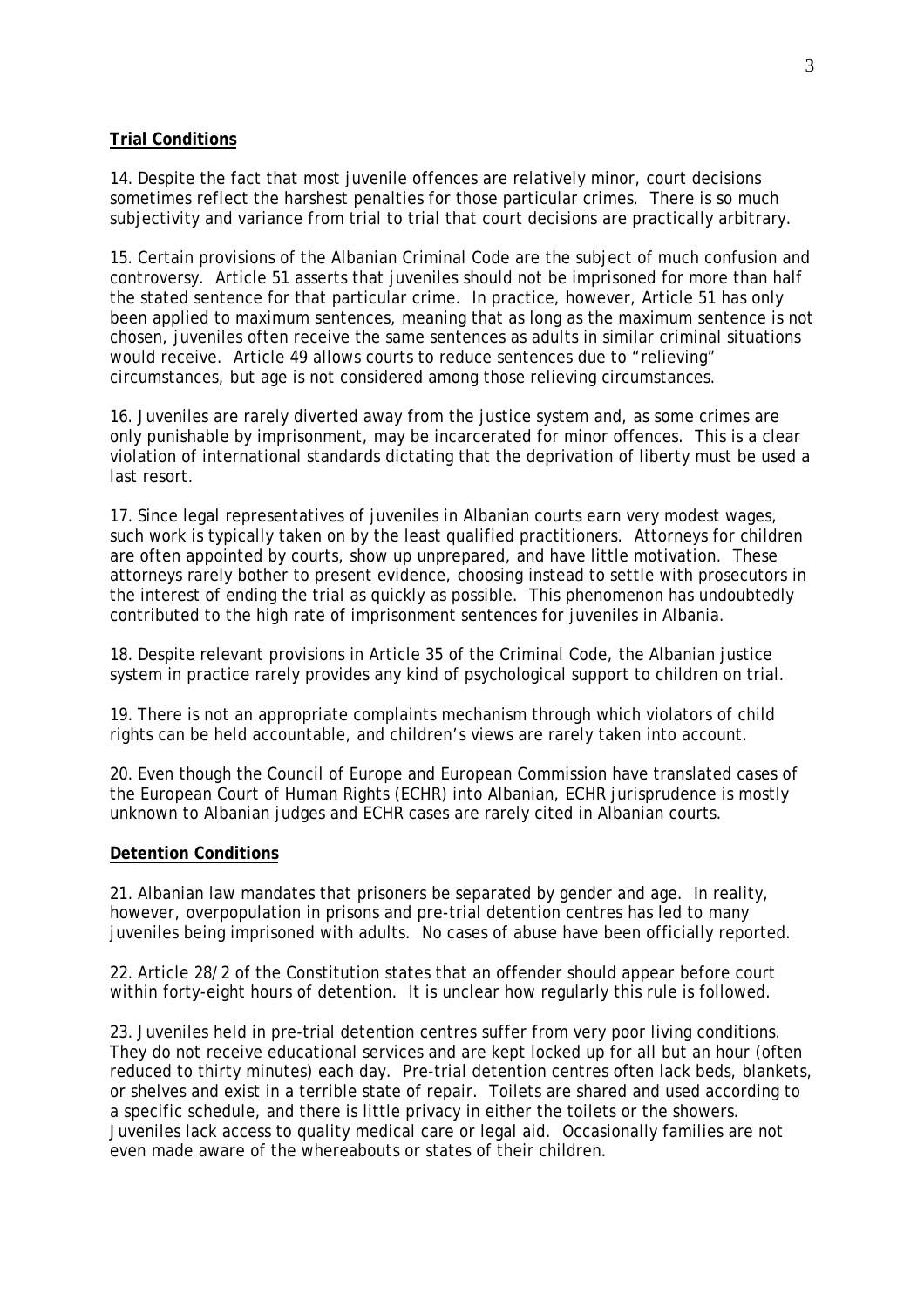### **Trial Conditions**

14. Despite the fact that most juvenile offences are relatively minor, court decisions sometimes reflect the harshest penalties for those particular crimes. There is so much subjectivity and variance from trial to trial that court decisions are practically arbitrary.

15. Certain provisions of the Albanian Criminal Code are the subject of much confusion and controversy. Article 51 asserts that juveniles should not be imprisoned for more than half the stated sentence for that particular crime. In practice, however, Article 51 has only been applied to maximum sentences, meaning that as long as the maximum sentence is not chosen, juveniles often receive the same sentences as adults in similar criminal situations would receive. Article 49 allows courts to reduce sentences due to "relieving" circumstances, but age is not considered among those relieving circumstances.

16. Juveniles are rarely diverted away from the justice system and, as some crimes are only punishable by imprisonment, may be incarcerated for minor offences. This is a clear violation of international standards dictating that the deprivation of liberty must be used a last resort.

17. Since legal representatives of juveniles in Albanian courts earn very modest wages, such work is typically taken on by the least qualified practitioners. Attorneys for children are often appointed by courts, show up unprepared, and have little motivation. These attorneys rarely bother to present evidence, choosing instead to settle with prosecutors in the interest of ending the trial as quickly as possible. This phenomenon has undoubtedly contributed to the high rate of imprisonment sentences for juveniles in Albania.

18. Despite relevant provisions in Article 35 of the Criminal Code, the Albanian justice system in practice rarely provides any kind of psychological support to children on trial.

19. There is not an appropriate complaints mechanism through which violators of child rights can be held accountable, and children's views are rarely taken into account.

20. Even though the Council of Europe and European Commission have translated cases of the European Court of Human Rights (ECHR) into Albanian, ECHR jurisprudence is mostly unknown to Albanian judges and ECHR cases are rarely cited in Albanian courts.

### **Detention Conditions**

21. Albanian law mandates that prisoners be separated by gender and age. In reality, however, overpopulation in prisons and pre-trial detention centres has led to many juveniles being imprisoned with adults. No cases of abuse have been officially reported.

22. Article 28/2 of the Constitution states that an offender should appear before court within forty-eight hours of detention. It is unclear how regularly this rule is followed.

23. Juveniles held in pre-trial detention centres suffer from very poor living conditions. They do not receive educational services and are kept locked up for all but an hour (often reduced to thirty minutes) each day. Pre-trial detention centres often lack beds, blankets, or shelves and exist in a terrible state of repair. Toilets are shared and used according to a specific schedule, and there is little privacy in either the toilets or the showers. Juveniles lack access to quality medical care or legal aid. Occasionally families are not even made aware of the whereabouts or states of their children.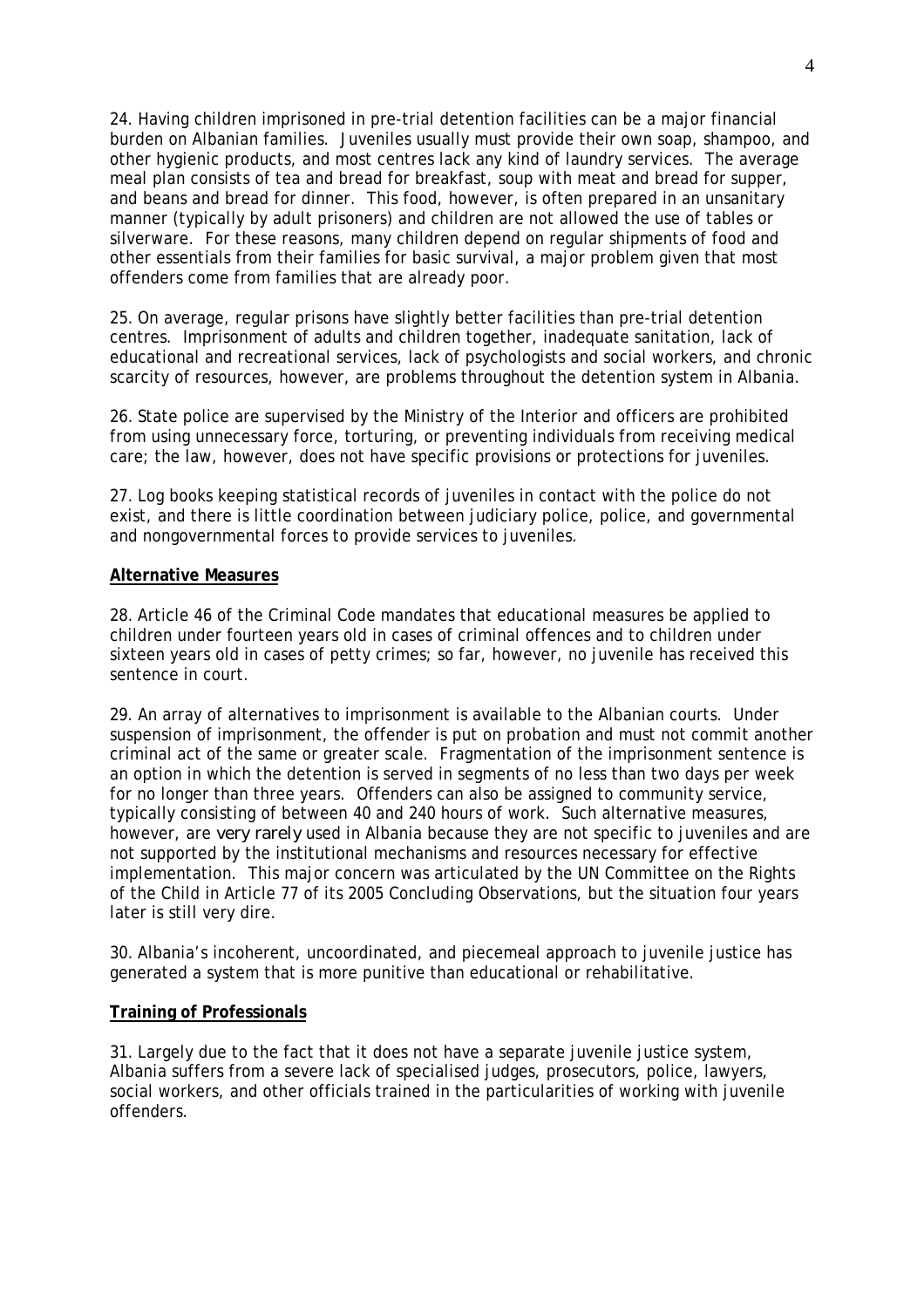24. Having children imprisoned in pre-trial detention facilities can be a major financial burden on Albanian families. Juveniles usually must provide their own soap, shampoo, and other hygienic products, and most centres lack any kind of laundry services. The average meal plan consists of tea and bread for breakfast, soup with meat and bread for supper, and beans and bread for dinner. This food, however, is often prepared in an unsanitary manner (typically by adult prisoners) and children are not allowed the use of tables or silverware. For these reasons, many children depend on regular shipments of food and other essentials from their families for basic survival, a major problem given that most offenders come from families that are already poor.

25. On average, regular prisons have slightly better facilities than pre-trial detention centres. Imprisonment of adults and children together, inadequate sanitation, lack of educational and recreational services, lack of psychologists and social workers, and chronic scarcity of resources, however, are problems throughout the detention system in Albania.

26. State police are supervised by the Ministry of the Interior and officers are prohibited from using unnecessary force, torturing, or preventing individuals from receiving medical care; the law, however, does not have specific provisions or protections for juveniles.

27. Log books keeping statistical records of juveniles in contact with the police do not exist, and there is little coordination between judiciary police, police, and governmental and nongovernmental forces to provide services to juveniles.

### **Alternative Measures**

28. Article 46 of the Criminal Code mandates that educational measures be applied to children under fourteen years old in cases of criminal offences and to children under sixteen years old in cases of petty crimes; so far, however, no juvenile has received this sentence in court.

29. An array of alternatives to imprisonment is available to the Albanian courts. Under suspension of imprisonment, the offender is put on probation and must not commit another criminal act of the same or greater scale. Fragmentation of the imprisonment sentence is an option in which the detention is served in segments of no less than two days per week for no longer than three years. Offenders can also be assigned to community service, typically consisting of between 40 and 240 hours of work. Such alternative measures, however, are *very rarely* used in Albania because they are not specific to juveniles and are not supported by the institutional mechanisms and resources necessary for effective implementation. This major concern was articulated by the UN Committee on the Rights of the Child in Article 77 of its 2005 Concluding Observations, but the situation four years later is still very dire.

30. Albania's incoherent, uncoordinated, and piecemeal approach to juvenile justice has generated a system that is more punitive than educational or rehabilitative.

#### **Training of Professionals**

31. Largely due to the fact that it does not have a separate juvenile justice system, Albania suffers from a severe lack of specialised judges, prosecutors, police, lawyers, social workers, and other officials trained in the particularities of working with juvenile offenders.